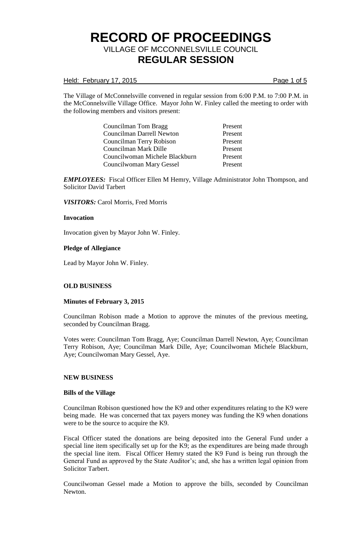### Held: February 17, 2015 **Page 1 of 5**

The Village of McConnelsville convened in regular session from 6:00 P.M. to 7:00 P.M. in the McConnelsville Village Office. Mayor John W. Finley called the meeting to order with the following members and visitors present:

> Councilman Tom Bragg Present Councilman Darrell Newton Present Councilman Terry Robison Present Councilman Mark Dille Present Councilwoman Michele Blackburn Present Councilwoman Mary Gessel Present

*EMPLOYEES:* Fiscal Officer Ellen M Hemry, Village Administrator John Thompson, and Solicitor David Tarbert

*VISITORS:* Carol Morris, Fred Morris

### **Invocation**

Invocation given by Mayor John W. Finley.

### **Pledge of Allegiance**

Lead by Mayor John W. Finley.

## **OLD BUSINESS**

#### **Minutes of February 3, 2015**

Councilman Robison made a Motion to approve the minutes of the previous meeting, seconded by Councilman Bragg.

Votes were: Councilman Tom Bragg, Aye; Councilman Darrell Newton, Aye; Councilman Terry Robison, Aye; Councilman Mark Dille, Aye; Councilwoman Michele Blackburn, Aye; Councilwoman Mary Gessel, Aye.

#### **NEW BUSINESS**

#### **Bills of the Village**

Councilman Robison questioned how the K9 and other expenditures relating to the K9 were being made. He was concerned that tax payers money was funding the K9 when donations were to be the source to acquire the K9.

Fiscal Officer stated the donations are being deposited into the General Fund under a special line item specifically set up for the K9; as the expenditures are being made through the special line item. Fiscal Officer Hemry stated the K9 Fund is being run through the General Fund as approved by the State Auditor's; and, she has a written legal opinion from Solicitor Tarbert.

Councilwoman Gessel made a Motion to approve the bills, seconded by Councilman Newton.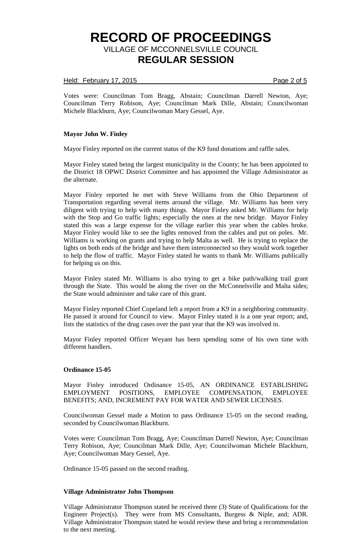## Held: February 17, 2015 **Page 2 of 5**

Votes were: Councilman Tom Bragg, Abstain; Councilman Darrell Newton, Aye; Councilman Terry Robison, Aye; Councilman Mark Dille, Abstain; Councilwoman Michele Blackburn, Aye; Councilwoman Mary Gessel, Aye.

### **Mayor John W. Finley**

Mayor Finley reported on the current status of the K9 fund donations and raffle sales.

Mayor Finley stated being the largest municipality in the County; he has been appointed to the District 18 OPWC District Committee and has appointed the Village Administrator as the alternate.

Mayor Finley reported he met with Steve Williams from the Ohio Department of Transportation regarding several items around the village. Mr. Williams has been very diligent with trying to help with many things. Mayor Finley asked Mr. Williams for help with the Stop and Go traffic lights; especially the ones at the new bridge. Mayor Finley stated this was a large expense for the village earlier this year when the cables broke. Mayor Finley would like to see the lights removed from the cables and put on poles. Mr. Williams is working on grants and trying to help Malta as well. He is trying to replace the lights on both ends of the bridge and have them interconnected so they would work together to help the flow of traffic. Mayor Finley stated he wants to thank Mr. Williams publically for helping us on this.

Mayor Finley stated Mr. Williams is also trying to get a bike path/walking trail grant through the State. This would be along the river on the McConnelsville and Malta sides; the State would administer and take care of this grant.

Mayor Finley reported Chief Copeland left a report from a K9 in a neighboring community. He passed it around for Council to view. Mayor Finley stated it is a one year report; and, lists the statistics of the drug cases over the past year that the K9 was involved in.

Mayor Finley reported Officer Weyant has been spending some of his own time with different handlers.

### **Ordinance 15-05**

Mayor Finley introduced Ordinance 15-05, AN ORDINANCE ESTABLISHING EMPLOYMENT POSITIONS, EMPLOYEE COMPENSATION, EMPLOYEE BENEFITS; AND, INCREMENT PAY FOR WATER AND SEWER LICENSES.

Councilwoman Gessel made a Motion to pass Ordinance 15-05 on the second reading, seconded by Councilwoman Blackburn.

Votes were: Councilman Tom Bragg, Aye; Councilman Darrell Newton, Aye; Councilman Terry Robison, Aye; Councilman Mark Dille, Aye; Councilwoman Michele Blackburn, Aye; Councilwoman Mary Gessel, Aye.

Ordinance 15-05 passed on the second reading.

#### **Village Administrator John Thompson**

Village Administrator Thompson stated he received three (3) State of Qualifications for the Engineer Project(s). They were from MS Consultants, Burgess & Niple, and; ADR. Village Administrator Thompson stated he would review these and bring a recommendation to the next meeting.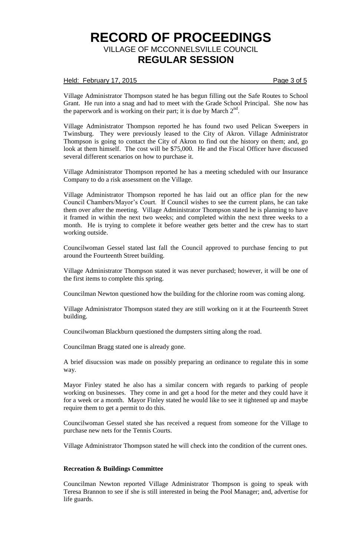### Held: February 17, 2015 **Page 3 of 5**

Village Administrator Thompson stated he has begun filling out the Safe Routes to School Grant. He run into a snag and had to meet with the Grade School Principal. She now has the paperwork and is working on their part; it is due by March  $2<sup>nd</sup>$ .

Village Administrator Thompson reported he has found two used Pelican Sweepers in Twinsburg. They were previously leased to the City of Akron. Village Administrator Thompson is going to contact the City of Akron to find out the history on them; and, go look at them himself. The cost will be \$75,000. He and the Fiscal Officer have discussed several different scenarios on how to purchase it.

Village Administrator Thompson reported he has a meeting scheduled with our Insurance Company to do a risk assessment on the Village.

Village Administrator Thompson reported he has laid out an office plan for the new Council Chambers/Mayor's Court. If Council wishes to see the current plans, he can take them over after the meeting. Village Administrator Thompson stated he is planning to have it framed in within the next two weeks; and completed within the next three weeks to a month. He is trying to complete it before weather gets better and the crew has to start working outside.

Councilwoman Gessel stated last fall the Council approved to purchase fencing to put around the Fourteenth Street building.

Village Administrator Thompson stated it was never purchased; however, it will be one of the first items to complete this spring.

Councilman Newton questioned how the building for the chlorine room was coming along.

Village Administrator Thompson stated they are still working on it at the Fourteenth Street building.

Councilwoman Blackburn questioned the dumpsters sitting along the road.

Councilman Bragg stated one is already gone.

A brief disucssion was made on possibly preparing an ordinance to regulate this in some way.

Mayor Finley stated he also has a similar concern with regards to parking of people working on businesses. They come in and get a hood for the meter and they could have it for a week or a month. Mayor Finley stated he would like to see it tightened up and maybe require them to get a permit to do this.

Councilwoman Gessel stated she has received a request from someone for the Village to purchase new nets for the Tennis Courts.

Village Administrator Thompson stated he will check into the condition of the current ones.

### **Recreation & Buildings Committee**

Councilman Newton reported Village Administrator Thompson is going to speak with Teresa Brannon to see if she is still interested in being the Pool Manager; and, advertise for life guards.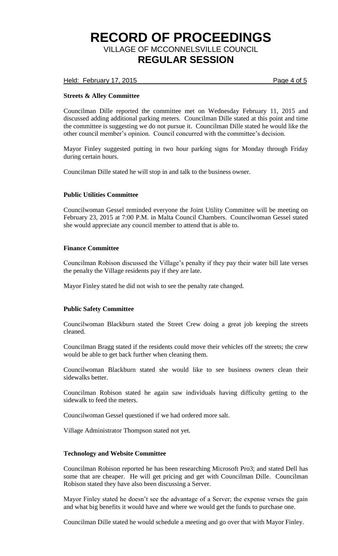Held: February 17, 2015 **Page 4 of 5** 

## **Streets & Alley Committee**

Councilman Dille reported the committee met on Wednesday February 11, 2015 and discussed adding additional parking meters. Councilman Dille stated at this point and time the committee is suggesting we do not pursue it. Councilman Dille stated he would like the other council member's opinion. Council concurred with the committee's decision.

Mayor Finley suggested putting in two hour parking signs for Monday through Friday during certain hours.

Councilman Dille stated he will stop in and talk to the business owner.

### **Public Utilities Committee**

Councilwoman Gessel reminded everyone the Joint Utility Committee will be meeting on February 23, 2015 at 7:00 P.M. in Malta Council Chambers. Councilwoman Gessel stated she would appreciate any council member to attend that is able to.

### **Finance Committee**

Councilman Robison discussed the Village's penalty if they pay their water bill late verses the penalty the Village residents pay if they are late.

Mayor Finley stated he did not wish to see the penalty rate changed.

## **Public Safety Committee**

Councilwoman Blackburn stated the Street Crew doing a great job keeping the streets cleaned.

Councilman Bragg stated if the residents could move their vehicles off the streets; the crew would be able to get back further when cleaning them.

Councilwoman Blackburn stated she would like to see business owners clean their sidewalks better.

Councilman Robison stated he again saw individuals having difficulty getting to the sidewalk to feed the meters.

Councilwoman Gessel questioned if we had ordered more salt.

Village Administrator Thompson stated not yet.

## **Technology and Website Committee**

Councilman Robison reported he has been researching Microsoft Pro3; and stated Dell has some that are cheaper. He will get pricing and get with Councilman Dille. Councilman Robison stated they have also been discussing a Server.

Mayor Finley stated he doesn't see the advantage of a Server; the expense verses the gain and what big benefits it would have and where we would get the funds to purchase one.

Councilman Dille stated he would schedule a meeting and go over that with Mayor Finley.